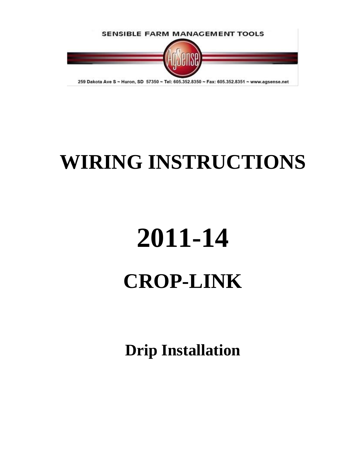

## **WIRING INSTRUCTIONS**

# **2011-14 CROP-LINK**

**Drip Installation**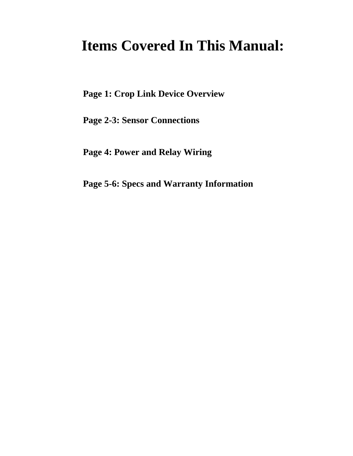## **Items Covered In This Manual:**

**Page 1: Crop Link Device Overview**

**Page 2-3: Sensor Connections**

**Page 4: Power and Relay Wiring**

**Page 5-6: Specs and Warranty Information**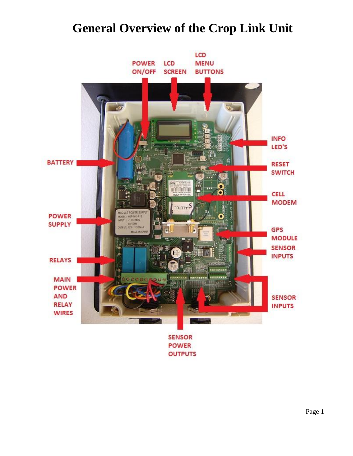## **General Overview of the Crop Link Unit**



Page 1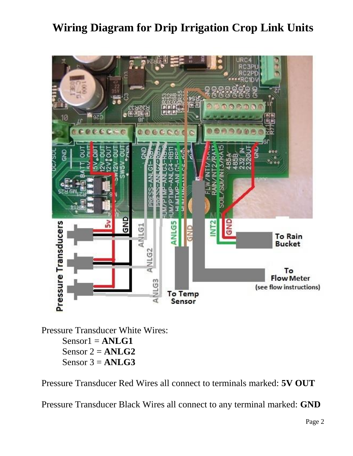### **Wiring Diagram for Drip Irrigation Crop Link Units**



Pressure Transducer White Wires:  $Sensor1 = ANLG1$ Sensor  $2 = ANLG2$ Sensor 3 = **ANLG3**

Pressure Transducer Red Wires all connect to terminals marked: **5V OUT**

Pressure Transducer Black Wires all connect to any terminal marked: **GND**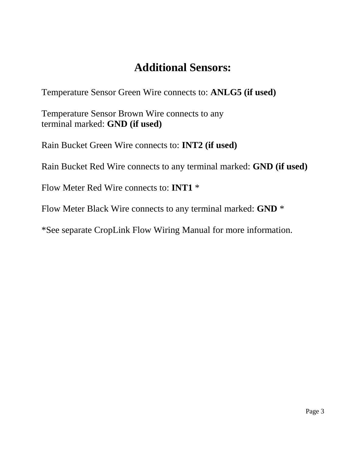## **Additional Sensors:**

Temperature Sensor Green Wire connects to: **ANLG5 (if used)**

Temperature Sensor Brown Wire connects to any terminal marked: **GND (if used)** 

Rain Bucket Green Wire connects to: **INT2 (if used)**

Rain Bucket Red Wire connects to any terminal marked: **GND (if used)**

Flow Meter Red Wire connects to: **INT1** \*

Flow Meter Black Wire connects to any terminal marked: **GND** \*

\*See separate CropLink Flow Wiring Manual for more information.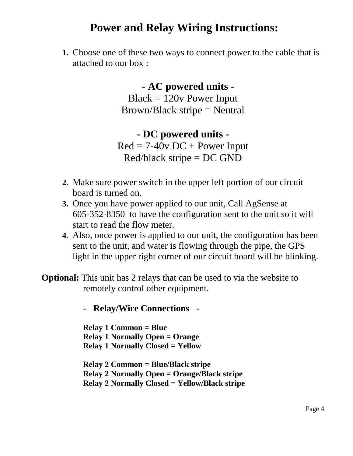#### **Power and Relay Wiring Instructions:**

**1.** Choose one of these two ways to connect power to the cable that is attached to our box :

> **- AC powered units -**  $Black = 120v$  Power Input Brown/Black stripe = Neutral

**- DC powered units -**  $Red = 7-40v DC + Power Input$  $Red/b$ lack stripe = DC GND

- **2.** Make sure power switch in the upper left portion of our circuit board is turned on.
- **3.** Once you have power applied to our unit, Call AgSense at 605-352-8350 to have the configuration sent to the unit so it will start to read the flow meter.
- **4.** Also, once power is applied to our unit, the configuration has been sent to the unit, and water is flowing through the pipe, the GPS light in the upper right corner of our circuit board will be blinking.

**Optional:** This unit has 2 relays that can be used to via the website to remotely control other equipment.

- **Relay/Wire Connections -**

**Relay 1 Common = Blue Relay 1 Normally Open = Orange Relay 1 Normally Closed = Yellow**

**Relay 2 Common = Blue/Black stripe Relay 2 Normally Open = Orange/Black stripe Relay 2 Normally Closed = Yellow/Black stripe**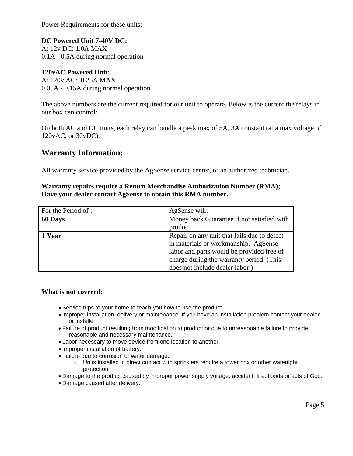Power Requirements for these units:

**DC Powered Unit 7-40V DC:**  At 12v DC: 1.0A MAX 0.1A - 0.5A during normal operation

#### **120vAC Powered Unit:**  At 120v AC: 0.25A MAX

0.05A - 0.15A during normal operation

The above numbers are the current required for our unit to operate. Below is the current the relays in our box can control:

On both AC and DC units, each relay can handle a peak max of 5A, 3A constant (at a max voltage of 120vAC, or 30vDC).

#### **Warranty Information:**

All warranty service provided by the AgSense service center, or an authorized technician.

#### **Warranty repairs require a Return Merchandise Authorization Number (RMA); Have your dealer contact AgSense to obtain this RMA number.**

| For the Period of : | AgSense will:                               |
|---------------------|---------------------------------------------|
| 60 Days             | Money back Guarantee if not satisfied with  |
|                     | product.                                    |
| 1 Year              | Repair on any unit that fails due to defect |
|                     | in materials or workmanship. AgSense        |
|                     | labor and parts would be provided free of   |
|                     | charge during the warranty period. (This    |
|                     | does not include dealer labor.)             |

#### **What is not covered:**

- Service trips to your home to teach you how to use the product.
- Improper installation, delivery or maintenance. If you have an installation problem contact your dealer or installer.
- Failure of product resulting from modification to product or due to unreasonable failure to provide reasonable and necessary maintenance.
- Labor necessary to move device from one location to another.
- Improper installation of battery.
- Failure due to corrosion or water damage.
	- $\circ$  Units installed in direct contact with sprinklers require a tower box or other watertight protection.
- Damage to the product caused by improper power supply voltage, accident, fire, floods or acts of God.
- Damage caused after delivery.